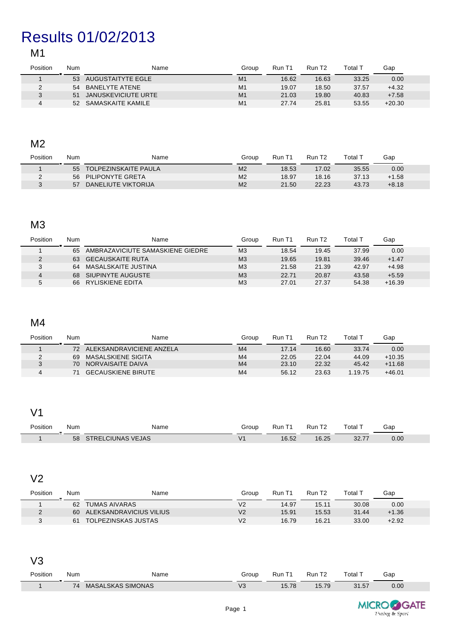# Results 01/02/2013

## M1

| Position | Num | Name                   | Group          | Run T1 | Run T <sub>2</sub> | Total T | Gap      |  |
|----------|-----|------------------------|----------------|--------|--------------------|---------|----------|--|
|          | 53  | AUGUSTAITYTE EGLE      | M1             | 16.62  | 16.63              | 33.25   | 0.00     |  |
|          |     | 54 BANELYTE ATENE      | M <sub>1</sub> | 19.07  | 18.50              | 37.57   | $+4.32$  |  |
|          |     | 51 JANUSKEVICIUTE URTE | M <sub>1</sub> | 21.03  | 19.80              | 40.83   | $+7.58$  |  |
|          | 52  | SAMASKAITE KAMILE      | M <sub>1</sub> | 27.74  | 25.81              | 53.55   | $+20.30$ |  |

#### M2

| Position | Num | Name                        | Group          | Run T1 | Run T <sub>2</sub> | Total T | Gap               |
|----------|-----|-----------------------------|----------------|--------|--------------------|---------|-------------------|
|          | 55  | <b>TOLPEZINSKAITE PAULA</b> | M <sub>2</sub> | 18.53  | 17.02              | 35.55   | 0.00 <sub>1</sub> |
|          | 56  | PILIPONYTE GRETA            | M <sub>2</sub> | 18.97  | 18.16              | 37.13   | $+1.58$           |
|          | 57  | DANELIUTE VIKTORIJA         | M <sub>2</sub> | 21.50  | 22.23              | 43.73   | $+8.18$           |

#### M3

| Position | Num | Name                             | Group          | Run T1 | Run T <sub>2</sub> | Total 1 | Gap      |
|----------|-----|----------------------------------|----------------|--------|--------------------|---------|----------|
|          | 65  | AMBRAZAVICIUTE SAMASKIENE GIEDRE | M <sub>3</sub> | 18.54  | 19.45              | 37.99   | 0.00     |
|          | 63  | <b>GECAUSKAITE RUTA</b>          | M <sub>3</sub> | 19.65  | 19.81              | 39.46   | $+1.47$  |
| J        | 64  | MASALSKAITE JUSTINA              | M <sub>3</sub> | 21.58  | 21.39              | 42.97   | $+4.98$  |
| 4        | 68  | SIUPINYTE AUGUSTE                | M <sub>3</sub> | 22.71  | 20.87              | 43.58   | $+5.59$  |
| G        | 66  | RYLISKIENE EDITA                 | M <sub>3</sub> | 27.01  | 27.37              | 54.38   | $+16.39$ |

## M4

| Position | Num | Name                      | Group          | Run T1 | Run T <sub>2</sub> | Total $^\tau$ | Gap      |  |
|----------|-----|---------------------------|----------------|--------|--------------------|---------------|----------|--|
|          | 72  | ALEKSANDRAVICIENE ANZELA  | M <sub>4</sub> | 17.14  | 16.60              | 33.74         | 0.00     |  |
|          | 69  | MASALSKIENE SIGITA        | M <sub>4</sub> | 22.05  | 22.04              | 44.09         | $+10.35$ |  |
|          | 70  | NORVAISAITE DAIVA         | M <sub>4</sub> | 23.10  | 22.32              | 45.42         | $+11.68$ |  |
|          |     | <b>GECAUSKIENE BIRUTE</b> | M <sub>4</sub> | 56.12  | 23.63              | 1.19.75       | $+46.01$ |  |

## V1

| Position | Num | Name         | Group | Run          | Run   | $\overline{\phantom{a}}$<br>⊺otal | Gap  |  |
|----------|-----|--------------|-------|--------------|-------|-----------------------------------|------|--|
|          | 58  | CIUNAS VEJAS |       | ACE<br>.U.JZ | 16.25 | 0077<br>32. I                     | 0.00 |  |

#### V2

| Position | Num | Name                    | Group          | Run T1 | Run T <sub>2</sub> | Total `. | Gap     |  |
|----------|-----|-------------------------|----------------|--------|--------------------|----------|---------|--|
|          | 62  | TUMAS AIVARAS           | V2             | 14.97  | 15.11              | 30.08    | 0.00    |  |
|          | 60  | ALEKSANDRAVICIUS VILIUS | V <sub>2</sub> | 15.91  | 15.53              | 31.44    | $+1.36$ |  |
|          | 61  | TOLPEZINSKAS JUSTAS     | V2             | 16.79  | 16.21              | 33.00    | $+2.92$ |  |

### V3

| Position | Num | Name                     | Group                          | Run                | Run            | otal         | Gap  |  |
|----------|-----|--------------------------|--------------------------------|--------------------|----------------|--------------|------|--|
|          | 74  | <b>MASALSKAS SIMONAS</b> | $\overline{\phantom{a}}$<br>VS | 570<br><b>O.IC</b> | $-70$<br>.b.79 | 31.57<br>$-$ | 0.00 |  |